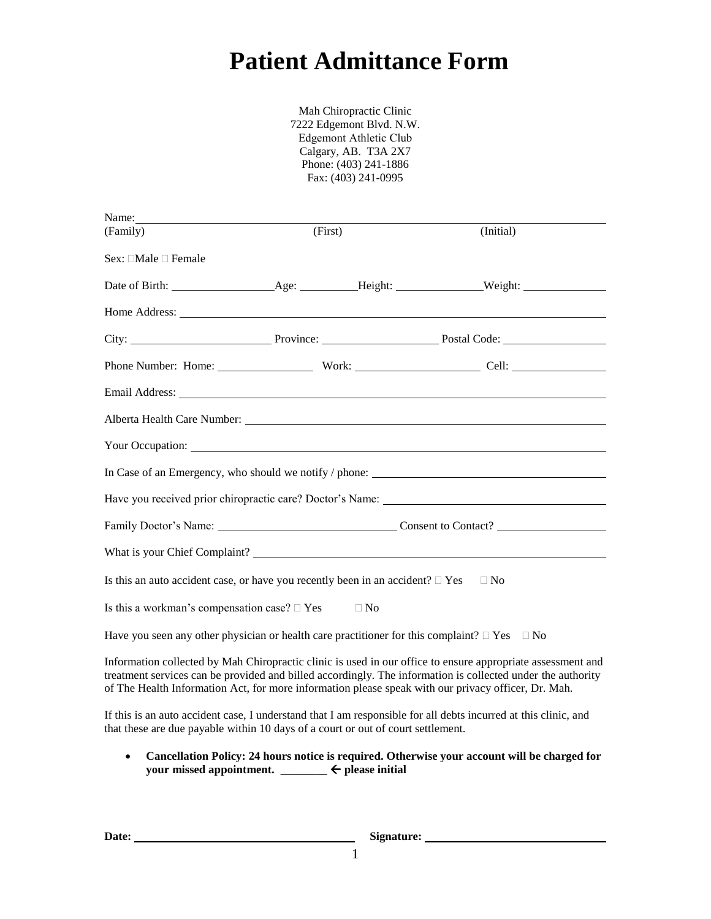# **Patient Admittance Form**

Mah Chiropractic Clinic 7222 Edgemont Blvd. N.W. Edgemont Athletic Club Calgary, AB. T3A 2X7 Phone: (403) 241-1886 Fax: (403) 241-0995

| Name:                                                                                                                                                                                                                                                                                                                             |         |  |           |
|-----------------------------------------------------------------------------------------------------------------------------------------------------------------------------------------------------------------------------------------------------------------------------------------------------------------------------------|---------|--|-----------|
| (Family)                                                                                                                                                                                                                                                                                                                          | (First) |  | (Initial) |
| Sex: $\Box$ Male $\Box$ Female                                                                                                                                                                                                                                                                                                    |         |  |           |
|                                                                                                                                                                                                                                                                                                                                   |         |  |           |
|                                                                                                                                                                                                                                                                                                                                   |         |  |           |
|                                                                                                                                                                                                                                                                                                                                   |         |  |           |
|                                                                                                                                                                                                                                                                                                                                   |         |  |           |
| Email Address: No. 1996. The Contract of the Contract of the Contract of the Contract of the Contract of the Contract of the Contract of the Contract of the Contract of the Contract of the Contract of the Contract of the C                                                                                                    |         |  |           |
| Alberta Health Care Number: 2008 and 2008 and 2008 and 2008 and 2008 and 2008 and 2008 and 2008 and 2008 and 2008 and 2008 and 2008 and 2008 and 2008 and 2008 and 2008 and 2008 and 2008 and 2008 and 2008 and 2008 and 2008                                                                                                     |         |  |           |
| Your Occupation:                                                                                                                                                                                                                                                                                                                  |         |  |           |
|                                                                                                                                                                                                                                                                                                                                   |         |  |           |
|                                                                                                                                                                                                                                                                                                                                   |         |  |           |
| Family Doctor's Name: Consent to Contact?                                                                                                                                                                                                                                                                                         |         |  |           |
|                                                                                                                                                                                                                                                                                                                                   |         |  |           |
| Is this an auto accident case, or have you recently been in an accident? $\Box$ Yes<br>$\Box$ No                                                                                                                                                                                                                                  |         |  |           |
| Is this a workman's compensation case? $\Box$ Yes $\Box$ No                                                                                                                                                                                                                                                                       |         |  |           |
| Have you seen any other physician or health care practitioner for this complaint? $\Box$ Yes $\Box$ No                                                                                                                                                                                                                            |         |  |           |
| Information collected by Mah Chiropractic clinic is used in our office to ensure appropriate assessment and<br>treatment services can be provided and billed accordingly. The information is collected under the authority<br>of The Health Information Act, for more information please speak with our privacy officer, Dr. Mah. |         |  |           |
| If this is an auto accident case, I understand that I am responsible for all debts incurred at this clinic, and<br>that these are due payable within 10 days of a court or out of court settlement.                                                                                                                               |         |  |           |
| Cancellation Policy: 24 hours notice is required. Otherwise your account will be charged for<br>$\bullet$<br>your missed appointment. _______ ← please initial                                                                                                                                                                    |         |  |           |

Date: Signature: Signature: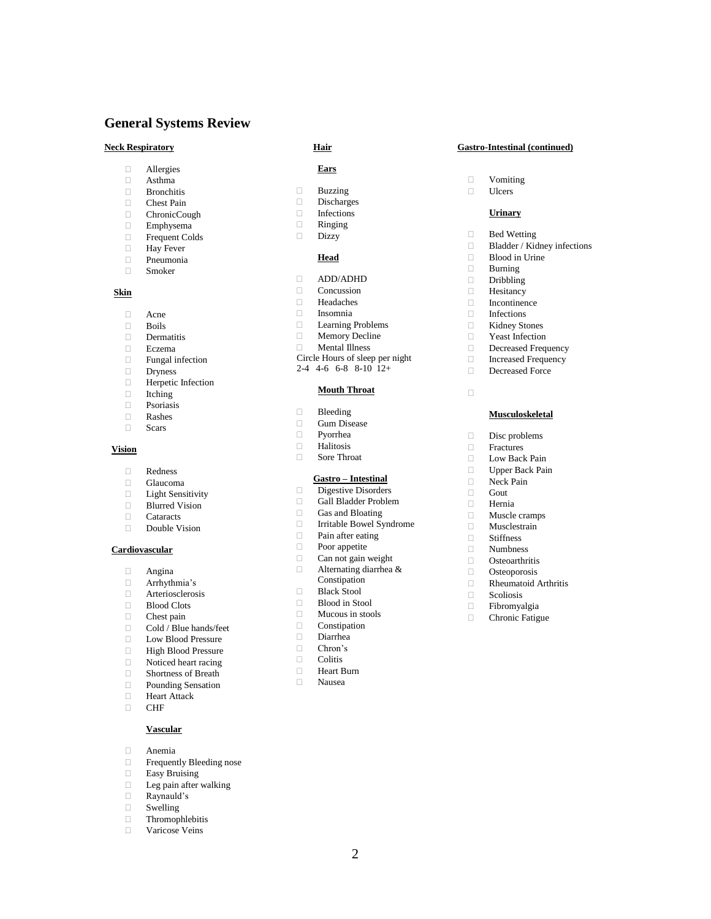# **General Systems Review**

- Allergies
- □ Asthma<br>□ Bronchit
- □ Bronchitis<br>□ Chest Pain
- Chest Pain
- ChronicCough
- □ Emphysema<br>□ Frequent Col
- Frequent Colds<br> **Exercise**<br> **Exercise** Hay Fever
- Pneumonia
- Smoker
- 

## **Skin**

- 
- □ Acne<br>□ Boils
- $\Box$  Boils<br> $\Box$  Derm Dermatitis
- 
- $\Box$  Eczema Fungal infection
- Dryness
- **Herpetic Infection**
- Itching
- $\n **P**$ soriasis
- 
- Rashes Scars

#### **Vision**

- $\Box$  Redness
- Glaucoma
- **Light Sensitivity**
- □ Blurred Vision
- Cataracts
- Double Vision

### **Cardiovascular**

- Angina
- Arrhythmia's
- $\Box$  Arteriosclerosis
- Blood Clots
- $\Box$  Chest pain
- □ Cold / Blue hands/feet
- □ Low Blood Pressure<br>□ High Blood Pressure
- High Blood Pressure
- Noticed heart racing
- Shortness of Breath
- **Pounding Sensation**
- **Heart Attack**
- CHF
	- **Vascular**
- Anemia
- **Frequently Bleeding nose**
- $\hfill \Box$  Easy Bruising
- Leg pain after walking
- Raynauld's
- Swelling
- □ Thromophlebitis
- Varicose Veins

#### **Ears**

- Buzzing
- Discharges
- Infections
- Ringing
- Dizzy

#### **Head**

- ADD/ADHD
- **Concussion**
- Headaches
- Insomnia
- **Learning Problems**
- Memory Decline
- Mental Illness
- Circle Hours of sleep per night
- $2-4$  4-6 6-8 8-10  $12+$

### **Mouth Throat**

- **Bleeding**
- Gum Disease
- $\Box$  Pyorrhea
- Halitosis Sore Throat
	-

### **Gastro – Intestinal**

- Digestive Disorders
- Gall Bladder Problem
- Gas and Bloating
- Irritable Bowel Syndrome
- **Pain after eating**
- Poor appetite
- $\Box$  Can not gain weight
- Alternating diarrhea & **Constipation**
- 
- □ Black Stool
- Blood in Stool
- $\Box$  Mucous in stools<br> $\Box$  Constination Constipation
- 
- $\Box$  Diarrhea Chron's
- Colitis
- **Heart Burn**
- Nausea

2

#### **Neck Respiratory Hair Gastro-Intestinal (continued)**

- $\Box$  Vomiting<br> $\Box$  Ulcers
- Ulcers

 $\Box$ 

#### **Urinary**

□ Blood in Urine<br>□ Burning  $\Box$  Burning Dribbling **Hesitancy**  $\Box$  Incontinence Infections Kidney Stones  $\Box$  Yeast Infection Decreased Frequency Increased Frequency Decreased Force

**Bed Wetting** Bladder / Kidney infections

**Musculoskeletal**

 $\square$  Disc problems Fractures D Low Back Pain Upper Back Pain Neck Pain Gout Hernia Muscle cramps Musclestrain □ Stiffness<br>□ Numbnes □ Numbness<br>□ Osteoarthri **Osteoarthritis**  $\Box$  Osteoporosis<br> $\Box$  Rheumatoid A  $\Box$  Rheumatoid Arthritis<br> $\Box$  Scoliosis

□ Scoliosis<br>□ Fibromya  $\Box$  Fibromyalgia Chronic Fatigue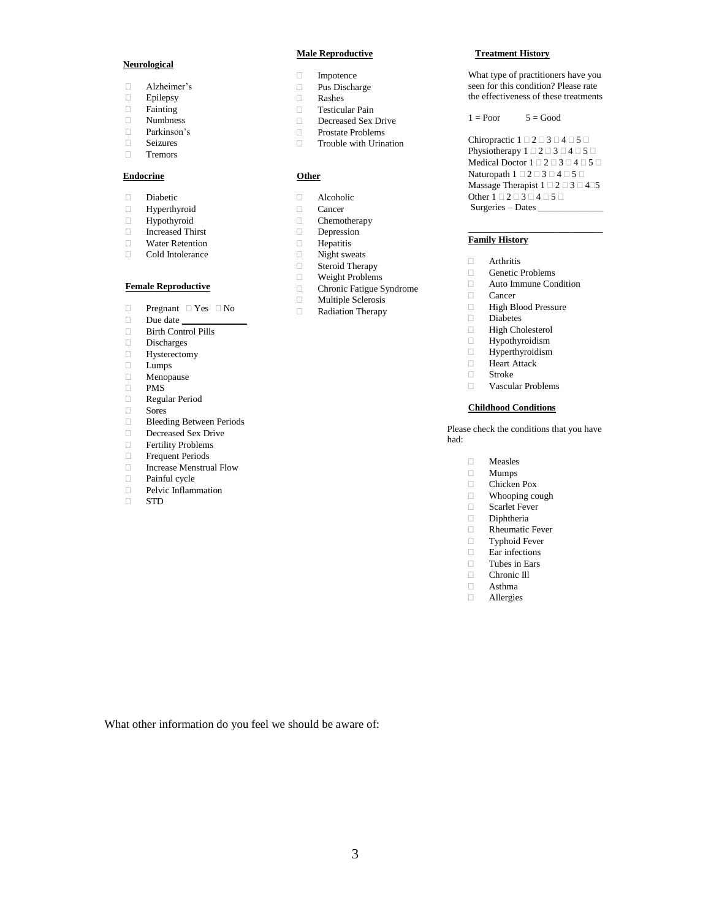#### **Neurological**

- Alzheimer's
- □ Epilepsy<br>□ Fainting
- □ Fainting<br>□ Numbnes
- Numbness
- Parkinson's
- □ Seizures<br>□ Tremors
- Tremors

#### **Endocrine**

- Diabetic
- Hyperthyroid
- Hypothyroid
- $\Box$  Increased Thirst<br> $\Box$  Water Retention
- Water Retention
- Cold Intolerance

#### **Female Reproductive**

- $\Box$  Pregnant  $\Box$  Yes  $\Box$  No
- $\Box$  Due date
- Birth Control Pills
- 
- □ Discharges<br>□ Hysterecton Hysterectomy
- Lumps
- Menopause
- PMS
- Regular Period
- Sores
- 
- Bleeding Between Periods
- Decreased Sex Drive
- **Fertility Problems**
- **Frequent Periods** Increase Menstrual Flow
- Painful cycle
- Pelvic Inflammation
- STD

#### **Male Reproductive**

- Impotence
- Pus Discharge
- Rashes
- Testicular Pain
- Decreased Sex Drive
- □ Prostate Problems
- Trouble with Urination

#### **Other**

- Alcoholic
- 
- 
- 
- -
- 
- 
- 
- 
- 

#### **Treatment History**

What type of practitioners have you seen for this condition? Please rate the effectiveness of these treatments

 $1 = \text{Poor}$   $5 = \text{Good}$ 

Chiropractic  $1 \square 2 \square 3 \square 4 \square 5 \square$ Physiotherapy  $1 \square 2 \square 3 \square 4 \square 5 \square$ Medical Doctor  $1 \square 2 \square 3 \square 4 \square 5 \square$ Naturopath  $1 \square 2 \square 3 \square 4 \square 5 \square$ Massage Therapist 1  $\square$  2  $\square$  3  $\square$  4  $\square 5$ Other  $1 \square 2 \square 3 \square 4 \square 5 \square$ Surgeries – Dates \_\_\_\_\_\_\_\_\_\_\_\_\_\_

\_\_\_\_\_\_\_\_\_\_\_\_\_\_\_\_\_\_\_\_\_\_\_\_\_\_\_\_\_

#### **Family History**

- **Arthritis**
- Genetic Problems
- □ Auto Immune Condition<br>□ Cancer
- □ Cancer<br>□ High B
- □ High Blood Pressure<br>□ Diabetes
- Diabetes
- High Cholesterol
- $\Box$  Hypothyroidism
- □ Hyperthyroidism<br>□ Heart Attack
- Heart Attack
- Stroke
- Vascular Problems

#### **Childhood Conditions**

Please check the conditions that you have had:

- □ Measles<br>□ Mumps
- □ Mumps<br>□ Chicken
- Chicken Pox
- $\Box$  Whooping cough  $\Box$  Scarlet Fever
- Scarlet Fever
- Diphtheria
- Rheumatic Fever
- Typhoid Fever
- $\Box$  Ear infections
- □ Tubes in Ears<br>□ Chronic III
- □ Chronic III<br>□ Asthma
- Asthma
- Allergies

What other information do you feel we should be aware of:

- - Chronic Fatigue Syndrome
		-
		- Radiation Therapy
- Cancer Chemotherapy
	- Depression<br> **Departition** 
		- $\Box$  Hepatitis Night sweats
	- □ Steroid Therapy
	-
	- $\Box$  Weight Problems<br> $\Box$  Chronic Fatigue S
	-
	- $\Box$  Multiple Sclerosis<br> $\Box$  Radiation Therapy